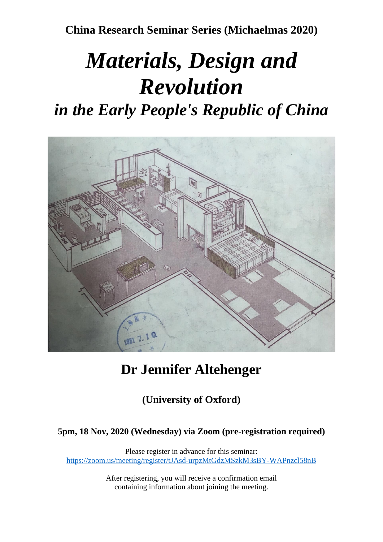**China Research Seminar Series (Michaelmas 2020)**

# *Materials, Design and Revolution*

# *in the Early People's Republic of China*



## **Dr Jennifer Altehenger**

**(University of Oxford)**

### **5pm, 18 Nov, 2020 (Wednesday) via Zoom (pre-registration required)**

Please register in advance for this seminar: <https://zoom.us/meeting/register/tJAsd-urpzMtGdzMSzkM3sBY-WAPnzcl58nB>

> After registering, you will receive a confirmation email containing information about joining the meeting.